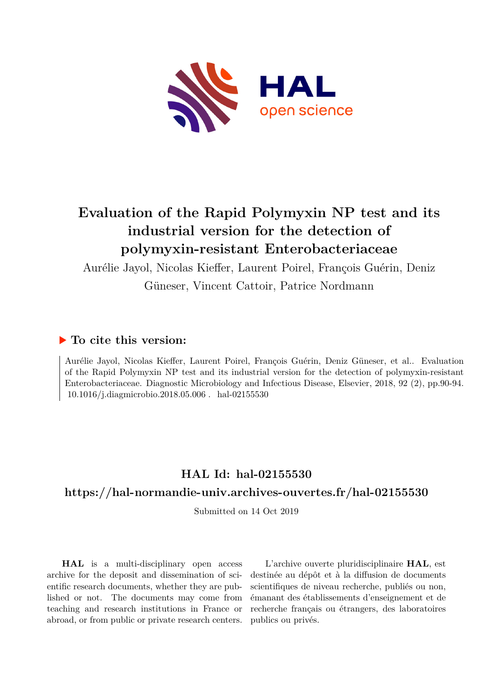

# **Evaluation of the Rapid Polymyxin NP test and its industrial version for the detection of polymyxin-resistant Enterobacteriaceae**

Aurélie Jayol, Nicolas Kieffer, Laurent Poirel, François Guérin, Deniz

Güneser, Vincent Cattoir, Patrice Nordmann

## **To cite this version:**

Aurélie Jayol, Nicolas Kieffer, Laurent Poirel, François Guérin, Deniz Güneser, et al.. Evaluation of the Rapid Polymyxin NP test and its industrial version for the detection of polymyxin-resistant Enterobacteriaceae. Diagnostic Microbiology and Infectious Disease, Elsevier, 2018, 92 (2), pp.90-94.  $10.1016$ /i.diagmicrobio.2018.05.006 hal-02155530

# **HAL Id: hal-02155530**

### **<https://hal-normandie-univ.archives-ouvertes.fr/hal-02155530>**

Submitted on 14 Oct 2019

**HAL** is a multi-disciplinary open access archive for the deposit and dissemination of scientific research documents, whether they are published or not. The documents may come from teaching and research institutions in France or abroad, or from public or private research centers.

L'archive ouverte pluridisciplinaire **HAL**, est destinée au dépôt et à la diffusion de documents scientifiques de niveau recherche, publiés ou non, émanant des établissements d'enseignement et de recherche français ou étrangers, des laboratoires publics ou privés.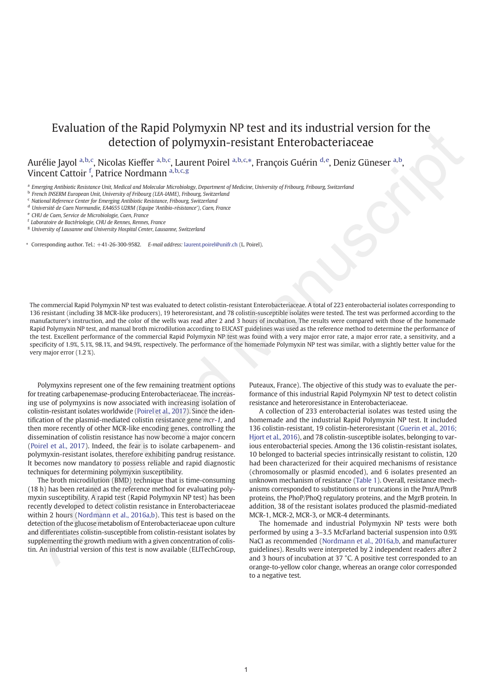## Evaluation of the Rapid Polymyxin NP test and its industrial version for the detection of polymyxin-resistant Enterobacteriaceae

Aurélie Jayol <sup>a,b,c</sup>, Nicolas Kieffer <sup>a,b,c</sup>, Laurent Poirel <sup>a,b,c,\*</sup>, François Guérin <sup>d,e</sup>, Deniz Güneser <sup>a,b</sup>, Vincent Cattoir <sup>f</sup>, Patrice Nordmann a, b, c, g

<sup>a</sup> Emerging Antibiotic Resistance Unit, Medical and Molecular Microbiology, Department of Medicine, University of Fribourg, Fribourg, Switzerland

- <sup>c</sup> National Reference Center for Emerging Antibiotic Resistance, Fribourg, Switzerland
- <sup>d</sup> Université de Caen Normandie, EA4655 U2RM (Equipe 'Antibio-résistance'), Caen, France

- <sup>f</sup> Laboratoire de Bactériologie, CHU de Rennes, Rennes, France
- <sup>g</sup> University of Lausanne and University Hospital Center, Lausanne, Switzerland
- ⁎ Corresponding author. Tel.: +41-26-300-9582. E-mail address: laurent.poirel@unifr.ch (L. Poirel).

The commercial Rapid Polymyxin NP test was evaluated to detect colistin-resistant Enterobacteriaceae. A total of 223 enterobacterial isolates corresponding to 136 resistant (including 38 MCR-like producers), 19 heteroresistant, and 78 colistin-susceptible isolates were tested. The test was performed according to the manufacturer's instruction, and the color of the wells was read after 2 and 3 hours of incubation. The results were compared with those of the homemade Rapid Polymyxin NP test, and manual broth microdilution according to EUCAST guidelines was used as the reference method to determine the performance of the test. Excellent performance of the commercial Rapid Polymyxin NP test was found with a very major error rate, a major error rate, a sensitivity, and a specificity of 1.9%, 5.1%, 98.1%, and 94.9%, respectively. The performance of the homemade Polymyxin NP test was similar, with a slightly better value for the very major error (1.2 %). EVentuation of the Federal Manuscript Constrainer of the Research of the Research of the Research of the Research of the Research of the Research of the Research of the Research of the Research of the Research of the Rese

Polymyxins represent one of the few remaining treatment options for treating carbapenemase-producing Enterobacteriaceae. The increasing use of polymyxins is now associated with increasing isolation of colistin-resistant isolates worldwide (Poirel et al., 2017). Since the identification of the plasmid-mediated colistin resistance gene mcr-1, and then more recently of other MCR-like encoding genes, controlling the dissemination of colistin resistance has now become a major concern (Poirel et al., 2017). Indeed, the fear is to isolate carbapenem- and polymyxin-resistant isolates, therefore exhibiting pandrug resistance. It becomes now mandatory to possess reliable and rapid diagnostic techniques for determining polymyxin susceptibility.

The broth microdilution (BMD) technique that is time-consuming (18 h) has been retained as the reference method for evaluating polymyxin susceptibility. A rapid test (Rapid Polymyxin NP test) has been recently developed to detect colistin resistance in Enterobacteriaceae within 2 hours (Nordmann et al., 2016a,b). This test is based on the detection of the glucose metabolism of Enterobacteriaceae upon culture and differentiates colistin-susceptible from colistin-resistant isolates by supplementing the growth medium with a given concentration of colistin. An industrial version of this test is now available (ELITechGroup, Puteaux, France). The objective of this study was to evaluate the performance of this industrial Rapid Polymyxin NP test to detect colistin resistance and heteroresistance in Enterobacteriaceae.

A collection of 233 enterobacterial isolates was tested using the homemade and the industrial Rapid Polymyxin NP test. It included 136 colistin-resistant, 19 colistin-heteroresistant (Guerin et al., 2016; Hjort et al., 2016), and 78 colistin-susceptible isolates, belonging to various enterobacterial species. Among the 136 colistin-resistant isolates, 10 belonged to bacterial species intrinsically resistant to colistin, 120 had been characterized for their acquired mechanisms of resistance (chromosomally or plasmid encoded), and 6 isolates presented an unknown mechanism of resistance (Table 1). Overall, resistance mechanisms corresponded to substitutions or truncations in the PmrA/PmrB proteins, the PhoP/PhoQ regulatory proteins, and the MgrB protein. In addition, 38 of the resistant isolates produced the plasmid-mediated MCR-1, MCR-2, MCR-3, or MCR-4 determinants.

The homemade and industrial Polymyxin NP tests were both performed by using a 3–3.5 McFarland bacterial suspension into 0.9% NaCl as recommended (Nordmann et al., 2016a,b, and manufacturer guidelines). Results were interpreted by 2 independent readers after 2 and 3 hours of incubation at 37 °C. A positive test corresponded to an orange-to-yellow color change, whereas an orange color corresponded to a negative test.

b French INSERM European Unit, University of Fribourg (LEA-IAME), Fribourg, Switzerland

<sup>e</sup> CHU de Caen, Service de Microbiologie, Caen, France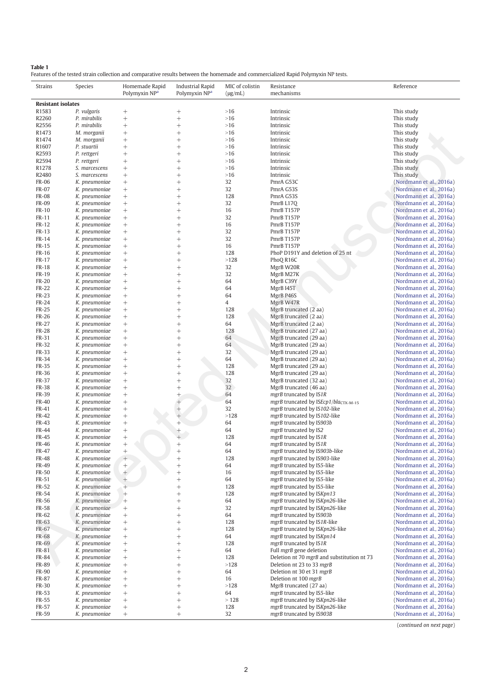#### Table 1

Features of the tested strain collection and comparative results between the homemade and commercialized Rapid Polymyxin NP tests.

| Strains                   | Species                        | Homemade Rapid<br>Polymyxin NP <sup>a</sup> | Industrial Rapid<br>Polymyxin NP <sup>a</sup> | MIC of colistin<br>$(\mu g/mL)$ | Resistance<br>mechanisms                         | Reference                |
|---------------------------|--------------------------------|---------------------------------------------|-----------------------------------------------|---------------------------------|--------------------------------------------------|--------------------------|
| <b>Resistant isolates</b> |                                |                                             |                                               |                                 |                                                  |                          |
| R1583                     | P. vulgaris                    | $^{+}$                                      | $^+$                                          | $>16$                           | Intrinsic                                        | This study               |
| R2260                     | P. mirabilis                   | $^{+}$                                      | $^{+}$                                        | $>16$                           | Intrinsic                                        | This study               |
| R2556                     | P. mirabilis                   | $^{+}$                                      | $^{+}$                                        | $>16$                           | Intrinsic                                        | This study               |
| R1473                     | M. morganii                    | $^{+}$                                      | $^{+}$                                        | $>16$                           | Intrinsic                                        | This study               |
| R1474                     | M. morganii                    | $^{+}$                                      | $^{+}$                                        | $>16$                           | Intrinsic                                        | This study               |
| R1607                     | P. stuartii                    | $^{+}$                                      | $^{+}$                                        | $>16$                           | Intrinsic                                        | This study               |
| R2593                     | P. rettgeri                    | $^{+}$                                      | $^{+}$                                        | $>16$                           | Intrinsic                                        | This study               |
| R2594                     | P. rettgeri                    | $^{+}$                                      | $^{+}$                                        | $>16$                           | Intrinsic                                        | This study               |
| R1278                     | S. marcescens                  | $^{+}$                                      | $^{+}$                                        | $>16$                           | Intrinsic                                        | This study               |
| R2480                     | S. marcescens                  | $^{+}$                                      | $^{+}$                                        | $>16$                           | Intrinsic                                        | This study               |
| <b>FR-06</b>              | K. pneumoniae                  | $^{+}$                                      | $^{+}$                                        | 32                              | PmrA G53C                                        | (Nordmann et al., 2016a) |
| FR-07                     | K. pneumoniae                  | $^{+}$                                      | $^{+}$                                        | 32                              | PmrA G53S                                        | (Nordmann et al., 2016a) |
| <b>FR-08</b>              | K. pneumoniae                  | $^{+}$                                      | $^{+}$                                        | 128                             | PmrA G53S                                        | (Nordmann et al., 2016a) |
| <b>FR-09</b>              | K. pneumoniae                  | $^{+}$                                      | $^{+}$                                        | 32                              | PmrB L17Q                                        | (Nordmann et al., 2016a) |
| <b>FR-10</b>              | K. pneumoniae                  | $^{+}$                                      | $^{+}$                                        | 16                              | PmrB T157P                                       | (Nordmann et al., 2016a) |
| FR-11                     | K. pneumoniae                  | $^{+}$                                      | $^{+}$                                        | 32                              | PmrB T157P                                       | (Nordmann et al., 2016a) |
| FR-12                     | K. pneumoniae                  | $^{+}$                                      | $^{+}$                                        | 16                              | PmrB T157P                                       | (Nordmann et al., 2016a) |
| FR-13                     | K. pneumoniae                  | $^{+}$                                      | $^{+}$                                        | 32                              | PmrB T157P                                       | (Nordmann et al., 2016a) |
| FR-14                     | K. pneumoniae                  | $^{+}$                                      | $^{+}$                                        | 32                              | PmrB T157P                                       | (Nordmann et al., 2016a) |
| FR-15                     | K. pneumoniae                  | $^{+}$                                      | $\ddot{}$                                     | 16                              | PmrB T157P                                       | (Nordmann et al., 2016a) |
| FR-16                     | K. pneumoniae                  | $^{+}$                                      | $^{+}$                                        | 128                             | PhoP D191Y and deletion of 25 nt                 | (Nordmann et al., 2016a) |
| FR-17                     | K. pneumoniae                  | $^{+}$                                      | $^{+}$                                        | >128                            | PhoQ R16C                                        | (Nordmann et al., 2016a) |
| <b>FR-18</b>              | K. pneumoniae                  | $^{+}$                                      | $^{+}$                                        | 32                              | MgrB W20R                                        | (Nordmann et al., 2016a) |
| FR-19                     | K. pneumoniae                  | $^{+}$                                      | $^{+}$                                        | 32                              | MgrB M27K                                        | (Nordmann et al., 2016a) |
| <b>FR-20</b>              | K. pneumoniae                  | $^{+}$                                      | $\ddot{}$                                     | 64                              | MgrB C39Y                                        | (Nordmann et al., 2016a) |
| <b>FR-22</b>              | K. pneumoniae                  | $^{+}$                                      | $^{+}$                                        | 64                              | MgrB I45T                                        | (Nordmann et al., 2016a) |
| <b>FR-23</b>              | K. pneumoniae                  | $^{+}$                                      | $\ddot{}$                                     | 64                              | MgrB P46S                                        | (Nordmann et al., 2016a) |
| FR-24                     | K. pneumoniae                  |                                             | $^{+}$                                        | 4                               | MgrB W47R                                        | (Nordmann et al., 2016a) |
| <b>FR-25</b>              |                                | $^{+}$                                      |                                               | 128                             | MgrB truncated (2 aa)                            |                          |
| <b>FR-26</b>              | K. pneumoniae<br>K. pneumoniae | $^{+}$<br>$^{+}$                            | $^{+}$<br>$^{+}$                              | 128                             |                                                  | (Nordmann et al., 2016a) |
| FR-27                     |                                |                                             | $^{+}$                                        | 64                              | MgrB truncated (2 aa)                            | (Nordmann et al., 2016a) |
|                           | K. pneumoniae                  | $^{+}$                                      |                                               | 128                             | MgrB truncated (2 aa)                            | (Nordmann et al., 2016a) |
| <b>FR-28</b>              | K. pneumoniae                  | $^{+}$                                      | $\ddot{}$                                     |                                 | MgrB truncated (27 aa)                           | (Nordmann et al., 2016a) |
| FR-31                     | K. pneumoniae                  | $^{+}$                                      | $^{+}$                                        | 64                              | MgrB truncated (29 aa)                           | (Nordmann et al., 2016a) |
| FR-32                     | K. pneumoniae                  | $^{+}$                                      | $\ddot{}$                                     | 64                              | MgrB truncated (29 aa)                           | (Nordmann et al., 2016a) |
| FR-33                     | K. pneumoniae                  | $^{+}$                                      | $^{+}$                                        | 32                              | MgrB truncated (29 aa)                           | (Nordmann et al., 2016a) |
| FR-34                     | K. pneumoniae                  | $^{+}$                                      | $^{+}$                                        | 64                              | MgrB truncated (29 aa)                           | (Nordmann et al., 2016a) |
| FR-35                     | K. pneumoniae                  | $^{+}$                                      | $^{+}$                                        | 128                             | MgrB truncated (29 aa)                           | (Nordmann et al., 2016a) |
| FR-36                     | K. pneumoniae                  | $^{+}$                                      | $\ddot{}$                                     | 128                             | MgrB truncated (29 aa)                           | (Nordmann et al., 2016a) |
| FR-37                     | K. pneumoniae                  | $^{+}$                                      | $\ddot{}$                                     | 32                              | MgrB truncated (32 aa)                           | (Nordmann et al., 2016a) |
| <b>FR-38</b>              | K. pneumoniae                  | $^{+}$                                      | $\ddot{}$                                     | 32                              | MgrB truncated (46 aa)                           | (Nordmann et al., 2016a) |
| FR-39                     | K. pneumoniae                  | $^{+}$                                      | $+$                                           | 64                              | mgrB truncated by IS1R                           | (Nordmann et al., 2016a) |
| FR-40                     | K. pneumoniae                  | $^{+}$                                      |                                               | 64                              | mgrB truncated by ISEcp1/bla <sub>CTX-M-15</sub> | (Nordmann et al., 2016a) |
| FR-41                     | K. pneumoniae                  | $^{+}$                                      |                                               | 32                              | mgrB truncated by IS102-like                     | (Nordmann et al., 2016a) |
| FR-42                     | K. pneumoniae                  | $^{+}$                                      |                                               | >128                            | mgrB truncated by IS102-like                     | (Nordmann et al., 2016a) |
| FR-43                     | K. pneumoniae                  | $^{+}$                                      |                                               | 64                              | mgrB truncated by IS903b                         | (Nordmann et al., 2016a) |
| FR-44                     | K. pneumoniae                  | $^{+}$                                      |                                               | 64                              | mgrB truncated by IS2                            | (Nordmann et al., 2016a) |
| <b>FR-45</b>              | K. pneumoniae                  | $^{+}$                                      | $^{+}$                                        | 128                             | mgrB truncated by IS1R                           | (Nordmann et al., 2016a) |
| <b>FR-46</b>              | K. pneumoniae                  | $^{+}$                                      | $^{+}$                                        | 64                              | mgrB truncated by IS1R                           | (Nordmann et al., 2016a) |
| FR-47                     | K. pneumoniae                  | $^{+}$                                      | $^{+}$                                        | 64                              | mgrB truncated by IS903b-like                    | (Nordmann et al., 2016a) |
| <b>FR-48</b>              | K. pneumoniae                  | $^{+}$                                      | $\boldsymbol{+}$                              | 128                             | mgrB truncated by IS903-like                     | (Nordmann et al., 2016a) |
| FR-49                     | K. pneumoniae                  | $\! +$                                      | $^{+}$                                        | 64                              | mgrB truncated by IS5-like                       | (Nordmann et al., 2016a) |
| <b>FR-50</b>              | K. pneumoniae                  | $^{+}$                                      | $^{+}$                                        | 16                              | mgrB truncated by IS5-like                       | (Nordmann et al., 2016a) |
| FR-51                     | K. pneumoniae                  |                                             | $\boldsymbol{+}$                              | 64                              | mgrB truncated by IS5-like                       | (Nordmann et al., 2016a) |
| FR-52                     | K. pneumoniae                  | $^{+}$                                      | $\boldsymbol{+}$                              | 128                             | mgrB truncated by IS5-like                       | (Nordmann et al., 2016a) |
| FR-54                     | K. pneumoniae                  | $^{+}$                                      | $\boldsymbol{+}$                              | 128                             | mgrB truncated by ISKpn13                        | (Nordmann et al., 2016a) |
| FR-56                     | K. pneumoniae                  | $^{+}$                                      | $^{+}$                                        | 64                              | mgrB truncated by ISKpn26-like                   | (Nordmann et al., 2016a) |
| <b>FR-58</b>              | K. pneumoniae                  | $\boldsymbol{+}$                            | $\boldsymbol{+}$                              | 32                              | mgrB truncated by ISKpn26-like                   | (Nordmann et al., 2016a) |
| FR-62                     | K. pneumoniae                  | $\! +$                                      | $\boldsymbol{+}$                              | 64                              | mgrB truncated by IS903b                         | (Nordmann et al., 2016a) |
| FR-63                     | K. pneumoniae                  | $\! +$                                      | $\! + \!\!\!\!$                               | 128                             | mgrB truncated by IS1R-like                      | (Nordmann et al., 2016a) |
| FR-67                     | K. pneumoniae                  | $\boldsymbol{+}$                            | $\boldsymbol{+}$                              | 128                             | mgrB truncated by ISKpn26-like                   | (Nordmann et al., 2016a) |
| <b>FR-68</b>              | K. pneumoniae                  | $\boldsymbol{+}$                            | $\boldsymbol{+}$                              | 64                              | mgrB truncated by ISKpn14                        | (Nordmann et al., 2016a) |
| FR-69                     | K. pneumoniae                  | $\boldsymbol{+}$                            | $\boldsymbol{+}$                              | 128                             | mgrB truncated by IS1R                           | (Nordmann et al., 2016a) |
| FR-81                     | K. pneumoniae                  | $^{+}$                                      | $\boldsymbol{+}$                              | 64                              | Full mgrB gene deletion                          | (Nordmann et al., 2016a) |
| FR-84                     | K. pneumoniae                  | $\boldsymbol{+}$                            | $\boldsymbol{+}$                              | 128                             | Deletion nt 70 mgrB and substitution nt 73       | (Nordmann et al., 2016a) |
| <b>FR-89</b>              | K. pneumoniae                  | $\! +$                                      | $\boldsymbol{+}$                              | >128                            | Deletion nt 23 to 33 mgrB                        | (Nordmann et al., 2016a) |
| FR-90                     | K. pneumoniae                  | $^+$                                        | $\! + \!\!\!\!$                               | 64                              | Deletion nt 30 et 31 mgrB                        | (Nordmann et al., 2016a) |
| <b>FR-87</b>              | K. pneumoniae                  | $\boldsymbol{+}$                            | $\boldsymbol{+}$                              | 16                              | Deletion nt 100 mgrB                             | (Nordmann et al., 2016a) |
| FR-30                     | K. pneumoniae                  | $\boldsymbol{+}$                            | $\boldsymbol{+}$                              | $>128$                          | MgrB truncated (27 aa)                           | (Nordmann et al., 2016a) |
| FR-53                     | K. pneumoniae                  | $\boldsymbol{+}$                            | $\boldsymbol{+}$                              | 64                              | mgrB truncated by IS5-like                       | (Nordmann et al., 2016a) |
| FR-55                     | K. pneumoniae                  | $^{+}$                                      | $\boldsymbol{+}$                              | >128                            | mgrB truncated by ISKpn26-like                   | (Nordmann et al., 2016a) |
| FR-57                     | K. pneumoniae                  | $^+$                                        | $^+$                                          | 128                             | mgrB truncated by ISKpn26-like                   | (Nordmann et al., 2016a) |
| FR-59                     | K. pneumoniae                  |                                             | $\! + \!\!\!\!$                               | 32                              | mgrB truncated by IS903B                         | (Nordmann et al., 2016a) |
|                           |                                |                                             |                                               |                                 |                                                  |                          |

(continued on next page)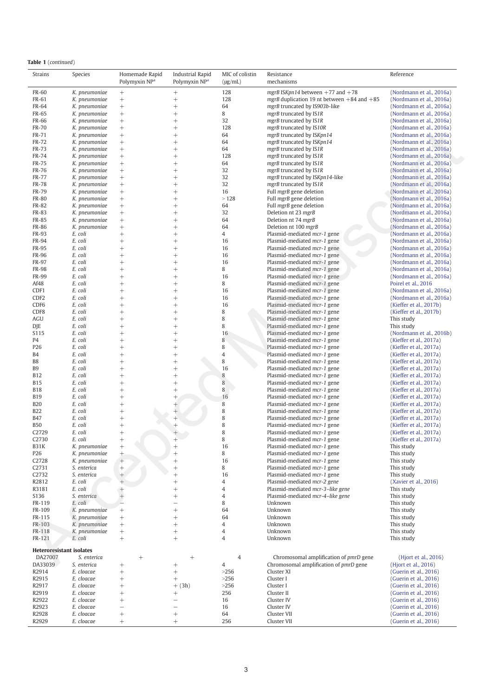|  | <b>Table 1</b> (continued) |  |
|--|----------------------------|--|
|  |                            |  |

| Strains                         | Species                        | Homemade Rapid<br>Polymyxin NP <sup>a</sup> | <b>Industrial Rapid</b><br>Polymyxin NP <sup>a</sup> | MIC of colistin<br>$(\mu g/mL)$ | Resistance<br>mechanisms                                   | Reference                                            |
|---------------------------------|--------------------------------|---------------------------------------------|------------------------------------------------------|---------------------------------|------------------------------------------------------------|------------------------------------------------------|
| <b>FR-60</b>                    | K. pneumoniae                  | $\! + \!\!\!\!$                             | $^{+}$                                               | 128                             | mgrB ISKpn14 between $+77$ and $+78$                       | (Nordmann et al., 2016a)                             |
| FR-61                           | K. pneumoniae                  | $\boldsymbol{+}$                            | $^{+}$                                               | 128                             | mgrB duplication 19 nt between $+84$ and $+85$             | (Nordmann et al., 2016a)                             |
| FR-64                           | K. pneumoniae                  |                                             | $^{+}$                                               | 64                              | mgrB truncated by IS903b-like                              | (Nordmann et al., 2016a)                             |
| FR-65                           | K. pneumoniae                  | $^{+}$                                      | $\overline{+}$                                       | 8                               | mgrB truncated by IS1R                                     | (Nordmann et al., 2016a)                             |
| <b>FR-66</b>                    | K. pneumoniae                  | $^{+}$                                      | $^{+}$                                               | 32                              | mgrB truncated by IS1R                                     | (Nordmann et al., 2016a)                             |
| <b>FR-70</b>                    | K. pneumoniae                  |                                             | $\overline{+}$                                       | 128                             | mgrB truncated by IS10R                                    | (Nordmann et al., 2016a)                             |
| FR-71                           | K. pneumoniae                  |                                             | $\overline{+}$                                       | 64                              | mgrB truncated by ISKpn14                                  | (Nordmann et al., 2016a)                             |
| FR-72                           | K. pneumoniae                  |                                             |                                                      | 64                              | mgrB truncated by ISKpn14                                  | (Nordmann et al., 2016a)                             |
| <b>FR-73</b>                    | K. pneumoniae                  |                                             | $^+$                                                 | 64                              | mgrB truncated by IS1R                                     | (Nordmann et al., 2016a)                             |
| FR-74                           | K. pneumoniae                  |                                             | $^{+}$                                               | 128                             | mgrB truncated by IS1R                                     | (Nordmann et al., 2016a)<br>(Nordmann et al., 2016a) |
| FR-75<br><b>FR-76</b>           | K. pneumoniae<br>K. pneumoniae | $^{+}$                                      | $\overline{+}$<br>$\overline{+}$                     | 64<br>32                        | mgrB truncated by IS1R<br>mgrB truncated by IS1R           |                                                      |
| <b>FR-77</b>                    | K. pneumoniae                  |                                             | $\overline{+}$                                       | 32                              | mgrB truncated by ISKpn14-like                             | (Nordmann et al., 2016a)<br>(Nordmann et al., 2016a) |
| <b>FR-78</b>                    | K. pneumoniae                  |                                             | $\overline{+}$                                       | 32                              | mgrB truncated by IS1R                                     | (Nordmann et al., 2016a)                             |
| FR-79                           | K. pneumoniae                  | $^{+}$                                      |                                                      | 16                              | Full mgrB gene deletion                                    | (Nordmann et al., 2016a)                             |
| <b>FR-80</b>                    | K. pneumoniae                  | $^+$                                        | $^+$                                                 | >128                            | Full mgrB gene deletion                                    | (Nordmann et al., 2016a)                             |
| <b>FR-82</b>                    | K. pneumoniae                  |                                             | $^{+}$                                               | 64                              | Full mgrB gene deletion                                    | (Nordmann et al., 2016a)                             |
| FR-83                           | K. pneumoniae                  | $^{+}$                                      | $\overline{+}$                                       | 32                              | Deletion nt 23 mgrB                                        | (Nordmann et al., 2016a)                             |
| <b>FR-85</b>                    | K. pneumoniae                  |                                             | $\overline{+}$                                       | 64                              | Deletion nt 74 mgrB                                        | (Nordmann et al., 2016a)                             |
| <b>FR-86</b>                    | K. pneumoniae                  |                                             | $\overline{+}$                                       | 64                              | Deletion nt 100 mgrB                                       | (Nordmann et al., 2016a)                             |
| FR-93                           | E. coli                        |                                             | $\overline{+}$                                       | 4                               | Plasmid-mediated mcr-1 gene                                | (Nordmann et al., 2016a)                             |
| FR-94                           | E. coli                        | $^{+}$                                      |                                                      | 16                              | Plasmid-mediated mcr-1 gene                                | (Nordmann et al., 2016a)                             |
| FR-95                           | E. coli                        | $^{+}$                                      | $^+$                                                 | 16                              | Plasmid-mediated mcr-1 gene                                | (Nordmann et al., 2016a)                             |
| <b>FR-96</b>                    | E. coli                        | $^{+}$                                      | $^{+}$                                               | 16                              | Plasmid-mediated mcr-1 gene                                | (Nordmann et al., 2016a)                             |
| FR-97                           | E. coli                        |                                             | $\overline{+}$                                       | 16                              | Plasmid-mediated mcr-1 gene                                | (Nordmann et al., 2016a)                             |
| <b>FR-98</b>                    | E. coli                        | $^{+}$                                      | $\overline{+}$                                       | 8                               | Plasmid-mediated <i>mcr-1</i> gene                         | (Nordmann et al., 2016a)                             |
| <b>FR-99</b>                    | E. coli                        |                                             | $\overline{+}$                                       | 16                              | Plasmid-mediated mcr-1 gene                                | (Nordmann et al., 2016a)                             |
| Af48                            | E. coli                        |                                             | $\overline{+}$                                       | 8                               | Plasmid-mediated mcr-1 gene                                | Poirel et al., 2016                                  |
| CDF1                            | E. coli                        |                                             |                                                      | 16                              | Plasmid-mediated mcr-1 gene                                | (Nordmann et al., 2016a)                             |
| CDF <sub>2</sub>                | E. coli                        | $^{+}$                                      | $^+$                                                 | 16                              | Plasmid-mediated mcr-1 gene                                | (Nordmann et al., 2016a)                             |
| CDF <sub>6</sub>                | E. coli                        | $^{+}$                                      | $^{+}$                                               | 16                              | Plasmid-mediated <i>mcr-1</i> gene                         | (Kieffer et al., 2017b)                              |
| CDF8                            | E. coli                        |                                             | $\overline{+}$                                       | 8                               | Plasmid-mediated mcr-1 gene                                | (Kieffer et al., 2017b)                              |
| <b>AGU</b>                      | E. coli                        |                                             | $\overline{+}$                                       | 8                               | Plasmid-mediated mcr-1 gene                                | This study                                           |
| DJE<br>S115                     | E. coli<br>E. coli             |                                             | $\overline{+}$                                       | 8<br>16                         | Plasmid-mediated mcr-1 gene<br>Plasmid-mediated mcr-1 gene | This study<br>(Nordmann et al., 2016b)               |
| P <sub>4</sub>                  | E. coli                        |                                             | $\overline{+}$                                       | 8                               | Plasmid-mediated mcr-1 gene                                | (Kieffer et al., 2017a)                              |
| P <sub>26</sub>                 | E. coli                        | $^{+}$                                      | $^+$                                                 | 8                               | Plasmid-mediated mcr-1 gene                                | (Kieffer et al., 2017a)                              |
| B <sub>4</sub>                  | E. coli                        | $^{+}$                                      | $^{+}$                                               | $\overline{4}$                  | Plasmid-mediated mcr-1 gene                                | (Kieffer et al., 2017a)                              |
| B8                              | E. coli                        |                                             | $\overline{+}$                                       | 8                               | Plasmid-mediated mcr-1 gene                                | (Kieffer et al., 2017a)                              |
| <b>B9</b>                       | E. coli                        |                                             | $^{+}$                                               | 16                              | Plasmid-mediated mcr-1 gene                                | (Kieffer et al., 2017a)                              |
| <b>B12</b>                      | E. coli                        |                                             | $^{+}$                                               | $\, 8$                          | Plasmid-mediated mcr-1 gene                                | (Kieffer et al., 2017a)                              |
| <b>B15</b>                      | E. coli                        |                                             | $^{+}$                                               | $\,$ 8 $\,$                     | Plasmid-mediated mcr-1 gene                                | (Kieffer et al., 2017a)                              |
| <b>B18</b>                      | E. coli                        | $^{+}$                                      |                                                      | 8                               | Plasmid-mediated mcr-1 gene                                | (Kieffer et al., 2017a)                              |
| <b>B19</b>                      | E. coli                        | $^{+}$                                      |                                                      | 16                              | Plasmid-mediated mcr-1 gene                                | (Kieffer et al., 2017a)                              |
| <b>B20</b>                      | E. coli                        | $^{+}$                                      |                                                      | 8                               | Plasmid-mediated mcr-1 gene                                | (Kieffer et al., 2017a)                              |
| <b>B22</b>                      | E. coli                        | $^{+}$                                      |                                                      | 8                               | Plasmid-mediated mcr-1 gene                                | (Kieffer et al., 2017a)                              |
| <b>B47</b>                      | E. coli                        | $^{+}$                                      |                                                      | 8                               | Plasmid-mediated mcr-1 gene                                | (Kieffer et al., 2017a)                              |
| <b>B50</b>                      | E. coli                        |                                             |                                                      | 8                               | Plasmid-mediated mcr-1 gene                                | (Kieffer et al., 2017a)                              |
| C2729                           | E. coli                        |                                             |                                                      | 8                               | Plasmid-mediated mcr-1 gene                                | (Kieffer et al., 2017a)                              |
| C2730                           | E. coli                        |                                             |                                                      | 8                               | Plasmid-mediated mcr-1 gene                                | (Kieffer et al., 2017a)                              |
| B31K                            | K. pneumoniae                  |                                             | $^{+}$                                               | 16                              | Plasmid-mediated mcr-1 gene                                | This study                                           |
| P26                             | K. pneumoniae                  | $\pm$                                       | $^{+}$                                               | 8                               | Plasmid-mediated mcr-1 gene                                | This study                                           |
| C2728                           | K. pneumoniae                  | $\hspace{0.025cm}+$                         | $\overline{+}$                                       | 16                              | Plasmid-mediated mcr-1 gene<br>Plasmid-mediated mcr-1 gene | This study                                           |
| C2731<br>C2732                  | S. enterica<br>S. enterica     | $\! +$                                      | $\overline{+}$                                       | 8<br>16                         | Plasmid-mediated mcr-1 gene                                | This study<br>This study                             |
| R2812                           | E. coli                        |                                             | $\overline{+}$<br>$\overline{+}$                     | $\overline{4}$                  | Plasmid-mediated mcr-2 gene                                | (Xavier et al., 2016)                                |
| R3181                           | E. coli                        | $^{+}$                                      | $^{+}$                                               | $\overline{4}$                  | Plasmid-mediated mcr-3-like gene                           | This study                                           |
| S136                            | S. enterica                    |                                             | $^{+}$                                               | $\sqrt{4}$                      | Plasmid-mediated mcr-4-like gene                           | This study                                           |
| FR-119                          | E. coli                        |                                             | $\overline{\phantom{0}}$                             | 8                               | Unknown                                                    | This study                                           |
| FR-109                          | K. pneumoniae                  |                                             | $^{+}$                                               | 64                              | Unknown                                                    | This study                                           |
| FR-115                          | K. pneumoniae                  |                                             | $^{+}$                                               | 64                              | Unknown                                                    | This study                                           |
| FR-103                          | K. pneumoniae                  |                                             | $^{+}$                                               | $\overline{4}$                  | Unknown                                                    | This study                                           |
| FR-118                          | K. pneumoniae                  | $^+$                                        | $^{+}$                                               | $\ensuremath{4}$                | Unknown                                                    | This study                                           |
| FR-121                          | E. coli                        | $\! + \!\!\!\!$                             | $^{+}$                                               | $\overline{4}$                  | Unknown                                                    | This study                                           |
| <b>Heteroresistant isolates</b> |                                |                                             |                                                      |                                 |                                                            |                                                      |
| DA27007                         | S. enterica                    | $\! + \!\!\!\!$                             |                                                      | 4                               | Chromosomal amplification of pmrD gene                     | (Hjort et al., 2016)                                 |
| DA33039                         | S. enterica                    | $^{+}$                                      | $^{+}$                                               | $\overline{4}$                  | Chromosomal amplification of pmrD gene                     | (Hjort et al., 2016)                                 |
| R2914                           | E. cloacae                     | $^{+}$                                      | $^{+}$                                               | >256                            | Cluster XI                                                 | (Guerin et al., 2016)                                |
| R2915                           | E. cloacae                     | $^+$                                        | $^{+}$                                               | >256                            | Cluster I                                                  | (Guerin et al., 2016)                                |
| R2917                           | E. cloacae                     |                                             | $+$ (3h)                                             | >256                            | Cluster I                                                  | (Guerin et al., 2016)                                |
| R2919                           | E. cloacae                     | $^{+}$                                      | $^{+}$                                               | 256                             | Cluster II                                                 | (Guerin et al., 2016)                                |
| R2922                           | E. cloacae                     |                                             | $\overline{\phantom{0}}$                             | 16                              | Cluster IV                                                 | (Guerin et al., 2016)                                |
| R2923                           | E. cloacae                     |                                             |                                                      | 16                              | Cluster IV                                                 | (Guerin et al., 2016)                                |
| R2928                           | E. cloacae                     |                                             | $\overline{+}$                                       | 64                              | Cluster VII                                                | (Guerin et al., 2016)                                |
| R2929                           | E. cloacae                     | $^{+}$                                      | $^{+}$                                               | 256                             | Cluster VII                                                | (Guerin et al., 2016)                                |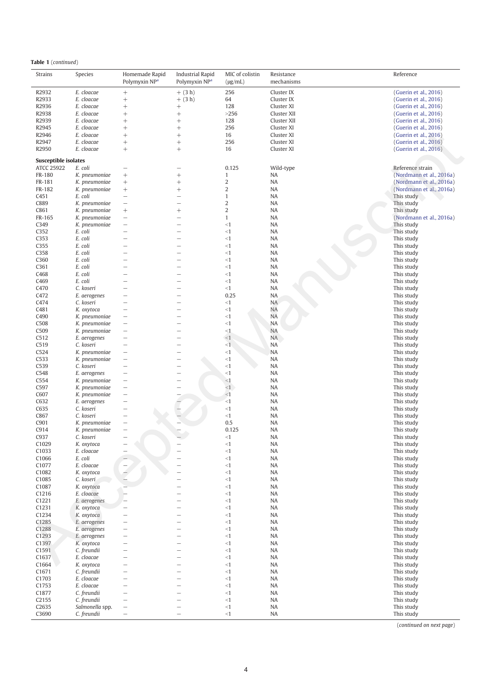|  | Table 1 (continued) |
|--|---------------------|
|--|---------------------|

| <b>Strains</b>                                   | Species         | Homemade Rapid<br>Polymyxin NP <sup>a</sup> | <b>Industrial Rapid</b><br>Polymyxin NP <sup>a</sup> | MIC of colistin<br>$(\mu g/mL)$ | Resistance<br>mechanisms | Reference                |
|--------------------------------------------------|-----------------|---------------------------------------------|------------------------------------------------------|---------------------------------|--------------------------|--------------------------|
| R2932                                            | E. cloacae      | $^{+}$                                      | $+$ (3 h)                                            | 256                             | Cluster IX               | (Guerin et al., 2016)    |
| R2933                                            | E. cloacae      | $^{+}$                                      | $+$ (3 h)                                            | 64                              | Cluster IX               | (Guerin et al., 2016)    |
| R2936                                            | E. cloacae      | $^{+}$                                      | $\! + \!\!\!\!$                                      | 128                             | Cluster XI               | (Guerin et al., 2016)    |
| R2938                                            | E. cloacae      | $^{+}$                                      | $^{+}$                                               | >256                            | Cluster XII              | (Guerin et al., 2016)    |
| R2939                                            | E. cloacae      | $^{+}$                                      | $^{+}$                                               | 128                             | Cluster XII              | (Guerin et al., 2016)    |
| R2945                                            | E. cloacae      | $^{+}$                                      | $^{+}$                                               | 256                             | Cluster XI               | (Guerin et al., 2016)    |
| R2946                                            | E. cloacae      | $^{+}$                                      |                                                      | 16                              | Cluster XI               | (Guerin et al., 2016)    |
| R2947                                            | E. cloacae      | $^{+}$                                      | $^{+}$                                               | 256                             | Cluster XI               | (Guerin et al., 2016)    |
| R2950                                            | E. cloacae      | $^{+}$                                      |                                                      | 16                              | Cluster XI               | (Guerin et al., 2016)    |
| <b>Susceptible isolates</b><br><b>ATCC 25922</b> | E. coli         | $\overline{\phantom{0}}$                    |                                                      | 0.125                           |                          | Reference strain         |
| FR-180                                           | K. pneumoniae   | $^{+}$                                      | $^{+}$                                               | $\mathbf{1}$                    | Wild-type<br>NA          | (Nordmann et al., 2016a) |
| FR-181                                           | K. pneumoniae   | $^{+}$                                      |                                                      | $\sqrt{2}$                      | NA                       | (Nordmann et al., 2016a) |
| FR-182                                           | K. pneumoniae   | $^{+}$                                      | $^{+}$                                               | $\overline{2}$                  | NA                       | (Nordmann et al., 2016a) |
| C451                                             | E. coli         | $\overline{\phantom{0}}$                    | $\overline{\phantom{0}}$                             | $\mathbf{1}$                    | NA                       | This study               |
| C889                                             | K. pneumoniae   | $\overline{\phantom{0}}$                    | $\overline{\phantom{0}}$                             | $\sqrt{2}$                      | NA                       | This study               |
| C861                                             | K. pneumoniae   | $^{+}$                                      | $^{+}$                                               | $\sqrt{2}$                      | <b>NA</b>                | This study               |
| FR-165                                           | K. pneumoniae   |                                             | $\overline{\phantom{0}}$                             | $\mathbf{1}$                    | NA                       | (Nordmann et al., 2016a) |
| C349                                             | K. pneumoniae   | $\overline{\phantom{0}}$                    | $\overline{\phantom{0}}$                             | <1                              | NA                       | This study               |
| C352                                             | E. coli         |                                             | ÷,                                                   | <1                              | NA                       | This study               |
| C353                                             | E. coli         | $\overline{\phantom{0}}$                    | -                                                    | <1                              | <b>NA</b>                | This study               |
| C355                                             | E. coli         | $\overline{\phantom{0}}$                    | $\overline{\phantom{0}}$                             | $\leq$ 1                        | <b>NA</b>                | This study               |
| C358                                             | E. coli         |                                             | -                                                    | <1                              | <b>NA</b>                | This study               |
| C360                                             | E. coli         | $\overline{\phantom{0}}$                    | $\overline{\phantom{0}}$                             | <1                              | <b>NA</b>                | This study               |
| C361                                             | E. coli         |                                             | -                                                    | $\leq$ 1                        | <b>NA</b>                | This study               |
| C468                                             | E. coli         | $\overline{\phantom{0}}$                    | $\overline{\phantom{0}}$                             | <1                              | <b>NA</b>                | This study               |
| C469                                             | E. coli         |                                             |                                                      | <1                              | <b>NA</b>                | This study               |
| C470                                             | C. koseri       | $\overline{\phantom{0}}$                    | -                                                    | $<$ 1                           | <b>NA</b>                | This study               |
| C472                                             | E. aerogenes    | $\overline{\phantom{0}}$                    | ÷,                                                   | 0.25                            | <b>NA</b>                | This study               |
| C474                                             | C. koseri       | $\overline{\phantom{0}}$                    | -                                                    | $<$ 1                           | NA                       | This study               |
| C481                                             | K. oxytoca      |                                             | $\overline{\phantom{0}}$                             | <1                              | <b>NA</b>                | This study               |
| C490                                             | K. pneumoniae   |                                             | -                                                    | <1                              | <b>NA</b>                | This study               |
| C508                                             | K. pneumoniae   | $\overline{\phantom{0}}$                    | $\overline{\phantom{0}}$                             | <1                              | <b>NA</b>                | This study               |
| C509                                             | K. pneumoniae   |                                             |                                                      | <1                              | <b>NA</b>                | This study               |
| C <sub>5</sub> 12                                | E. aerogenes    | $\overline{\phantom{0}}$                    | -                                                    | <1                              | <b>NA</b>                | This study               |
| C519                                             | C. koseri       | $\overline{\phantom{0}}$                    | ÷.                                                   | $\leq$ 1                        | <b>NA</b>                | This study               |
| C524                                             | K. pneumoniae   | $\overline{\phantom{0}}$                    | -                                                    | <1                              | <b>NA</b>                | This study               |
| C533                                             | K. pneumoniae   | $\overline{\phantom{0}}$                    | -                                                    | <1                              | <b>NA</b>                | This study               |
| C539                                             | C. koseri       |                                             | $\overline{\phantom{0}}$                             | <1                              | <b>NA</b>                | This study               |
| C548                                             | E. aerogenes    | $\overline{\phantom{0}}$                    | $\overline{\phantom{0}}$                             | <1                              | <b>NA</b>                | This study               |
| C554                                             | K. pneumoniae   |                                             |                                                      | <1                              | <b>NA</b>                | This study               |
| C597                                             | K. pneumoniae   |                                             | L,                                                   | $<$ 1                           | NA                       | This study               |
| C607                                             | K. pneumoniae   | $\overline{\phantom{0}}$                    |                                                      | <1                              | <b>NA</b>                | This study               |
| C632                                             | E. aerogenes    | $\overline{\phantom{0}}$                    |                                                      | <1                              | <b>NA</b>                | This study               |
| C635                                             | C. koseri       | $\overline{\phantom{0}}$                    |                                                      | <1                              | <b>NA</b>                | This study               |
| C867                                             | C. koseri       |                                             |                                                      | $\leq$ 1                        | <b>NA</b>                | This study               |
| C901                                             | K. pneumoniae   |                                             |                                                      | 0.5                             | <b>NA</b>                | This study               |
| C914                                             | K. pneumoniae   |                                             |                                                      | 0.125                           | <b>NA</b>                | This study               |
| C937                                             | C. koseri       |                                             |                                                      | <1                              | <b>NA</b>                | This study               |
| C1029                                            | K. oxytoca      |                                             |                                                      | <1                              | NA                       | This study               |
| C1033                                            | E. cloacae      | $\overline{\phantom{0}}$                    |                                                      | $<1\,$                          | NA                       | This study               |
| C1066                                            | E. coli         |                                             |                                                      | $\leq$ 1                        | NA                       | This study               |
| C1077                                            | E. cloacae      |                                             | -                                                    | <1                              | NA                       | This study               |
| C1082                                            | K. oxytoca      |                                             | $\overline{\phantom{0}}$                             | <1                              | NA                       | This study               |
| C1085                                            | C. koseri       |                                             |                                                      | <1                              | NA                       | This study               |
| C1087                                            | K. oxytoca      |                                             | -                                                    | <1                              | NA                       | This study               |
| C1216                                            | E. cloacae      |                                             | $\overline{\phantom{0}}$                             | <1                              | NA                       | This study               |
| C1221                                            | E. aerogenes    |                                             | $\overline{\phantom{0}}$                             | <1                              | NA                       | This study               |
| C1231                                            | K. oxytoca      |                                             | $\overline{\phantom{0}}$                             | <1                              | NA                       | This study               |
| C1234                                            | K. oxytoca      |                                             | $\overline{\phantom{0}}$                             | <1                              | NA                       | This study               |
| C1285                                            | E. aerogenes    |                                             | $\overline{\phantom{0}}$                             | <1                              | NA                       | This study               |
| C1288                                            | E. aerogenes    |                                             | —                                                    | <1                              | NA                       | This study               |
| C1293                                            | E. aerogenes    | $\overline{\phantom{0}}$                    | $\overline{\phantom{0}}$                             | <1                              | NA                       | This study               |
| C1397                                            | K. oxytoca      | $\overline{\phantom{0}}$                    | $\overline{\phantom{0}}$                             | <1                              | NA                       | This study               |
| C1591                                            | C. freundii     | $\overline{\phantom{0}}$                    | $\overline{\phantom{0}}$                             | <1                              | NA                       | This study               |
| C1637                                            | E. cloacae      | $\overline{\phantom{0}}$                    | $\overline{\phantom{0}}$                             | <1                              | NA                       | This study               |
| C1664                                            | K. oxytoca      | $\overline{\phantom{0}}$                    | $\overline{\phantom{0}}$                             | <1                              | NA                       | This study               |
| C1671                                            | C. freundii     |                                             | $\overline{\phantom{0}}$                             | <1                              | NA                       | This study               |
| C1703                                            | E. cloacae      |                                             | $\overline{\phantom{0}}$                             | <1                              | NA                       | This study               |
| C1753                                            | E. cloacae      |                                             | -                                                    | <1                              | NA                       | This study               |
| C1877                                            | C. freundii     | $\overline{\phantom{0}}$                    | L,                                                   | <1                              | NA                       | This study               |
| C <sub>2155</sub>                                | C. freundii     | $\overline{\phantom{0}}$                    | $\overline{\phantom{0}}$                             | $<1\,$                          | NA                       | This study               |
| C <sub>2635</sub>                                | Salmonella spp. | $\overline{\phantom{0}}$                    | $\overline{\phantom{0}}$                             | <1                              | NA                       | This study               |
| C3690                                            | C. freundii     | $\overline{\phantom{0}}$                    | $\overline{\phantom{0}}$                             | $\leq$ 1                        | NA                       | This study               |

(continued on next page)